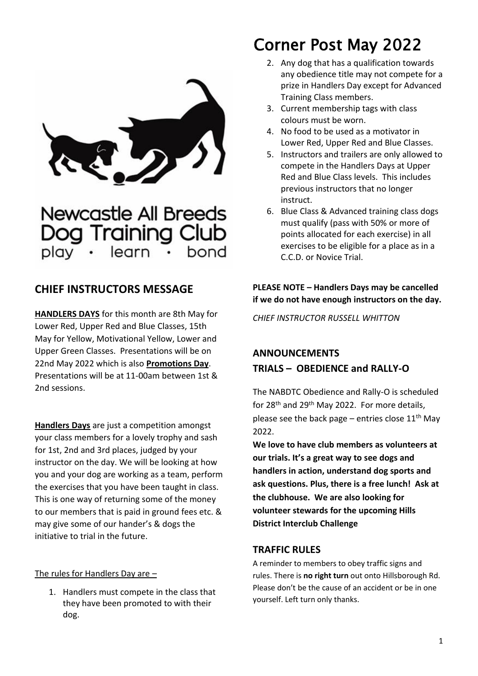

**Newcastle All Breeds** Dog Training Club learn hond

## **CHIEF INSTRUCTORS MESSAGE**

**HANDLERS DAYS** for this month are 8th May for Lower Red, Upper Red and Blue Classes, 15th May for Yellow, Motivational Yellow, Lower and Upper Green Classes. Presentations will be on 22nd May 2022 which is also **Promotions Day**. Presentations will be at 11-00am between 1st & 2nd sessions.

**Handlers Days** are just a competition amongst your class members for a lovely trophy and sash for 1st, 2nd and 3rd places, judged by your instructor on the day. We will be looking at how you and your dog are working as a team, perform the exercises that you have been taught in class. This is one way of returning some of the money to our members that is paid in ground fees etc. & may give some of our hander's & dogs the initiative to trial in the future.

#### The rules for Handlers Day are –

1. Handlers must compete in the class that they have been promoted to with their dog.

# Corner Post May 2022

- 2. Any dog that has a qualification towards any obedience title may not compete for a prize in Handlers Day except for Advanced Training Class members.
- 3. Current membership tags with class colours must be worn.
- 4. No food to be used as a motivator in Lower Red, Upper Red and Blue Classes.
- 5. Instructors and trailers are only allowed to compete in the Handlers Days at Upper Red and Blue Class levels. This includes previous instructors that no longer instruct.
- 6. Blue Class & Advanced training class dogs must qualify (pass with 50% or more of points allocated for each exercise) in all exercises to be eligible for a place as in a C.C.D. or Novice Trial.

## **PLEASE NOTE – Handlers Days may be cancelled if we do not have enough instructors on the day.**

*CHIEF INSTRUCTOR RUSSELL WHITTON*

## **ANNOUNCEMENTS TRIALS – OBEDIENCE and RALLY-O**

The NABDTC Obedience and Rally-O is scheduled for 28th and 29th May 2022. For more details, please see the back page – entries close  $11<sup>th</sup>$  May 2022.

**We love to have club members as volunteers at our trials. It's a great way to see dogs and handlers in action, understand dog sports and ask questions. Plus, there is a free lunch! Ask at the clubhouse. We are also looking for volunteer stewards for the upcoming Hills District Interclub Challenge**

## **TRAFFIC RULES**

A reminder to members to obey traffic signs and rules. There is **no right turn** out onto Hillsborough Rd. Please don't be the cause of an accident or be in one yourself. Left turn only thanks.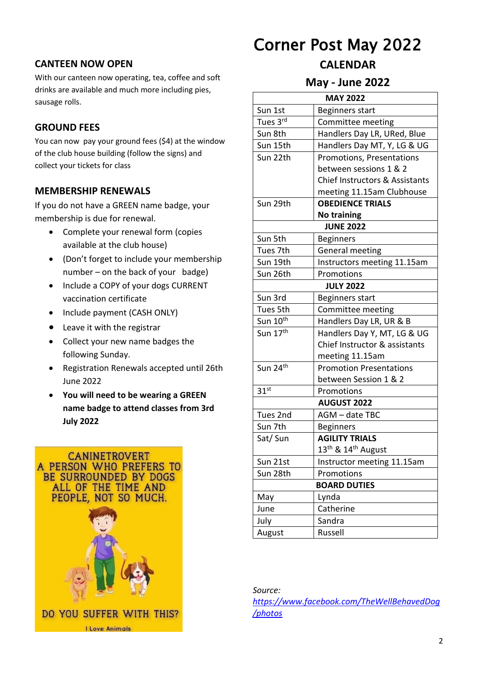### **CANTEEN NOW OPEN**

With our canteen now operating, tea, coffee and soft drinks are available and much more including pies, sausage rolls.

### **GROUND FEES**

You can now pay your ground fees (\$4) at the window of the club house building (follow the signs) and collect your tickets for class

### **MEMBERSHIP RENEWALS**

If you do not have a GREEN name badge, your membership is due for renewal.

- Complete your renewal form (copies available at the club house)
- (Don't forget to include your membership number – on the back of your badge)
- Include a COPY of your dogs CURRENT vaccination certificate
- Include payment (CASH ONLY)
- Leave it with the registrar
- Collect your new name badges the following Sunday.
- Registration Renewals accepted until 26th June 2022
- **You will need to be wearing a GREEN name badge to attend classes from 3rd July 2022**



# Corner Post May 2022

### **CALENDAR**

**May - June 2022**

| <b>MAY 2022</b>      |                                            |  |
|----------------------|--------------------------------------------|--|
| Sun 1st              | Beginners start                            |  |
| Tues 3rd             | Committee meeting                          |  |
| Sun 8th              | Handlers Day LR, URed, Blue                |  |
| Sun 15th             | Handlers Day MT, Y, LG & UG                |  |
| Sun 22th             | <b>Promotions, Presentations</b>           |  |
|                      | between sessions 1 & 2                     |  |
|                      | <b>Chief Instructors &amp; Assistants</b>  |  |
|                      | meeting 11.15am Clubhouse                  |  |
| Sun 29th             | <b>OBEDIENCE TRIALS</b>                    |  |
| <b>No training</b>   |                                            |  |
| <b>JUNE 2022</b>     |                                            |  |
| Sun 5th              | <b>Beginners</b>                           |  |
| Tues 7th             | General meeting                            |  |
| Sun 19th             | Instructors meeting 11.15am                |  |
| Sun 26th             | Promotions                                 |  |
| <b>JULY 2022</b>     |                                            |  |
| Sun 3rd              | Beginners start                            |  |
| Tues 5th             | Committee meeting                          |  |
| Sun 10 <sup>th</sup> | Handlers Day LR, UR & B                    |  |
| Sun 17 <sup>th</sup> | Handlers Day Y, MT, LG & UG                |  |
|                      | Chief Instructor & assistants              |  |
|                      | meeting 11.15am                            |  |
| Sun 24th             | <b>Promotion Presentations</b>             |  |
|                      | between Session 1 & 2                      |  |
| 31 <sup>st</sup>     | Promotions                                 |  |
| <b>AUGUST 2022</b>   |                                            |  |
| Tues 2nd             | AGM - date TBC                             |  |
| Sun 7th              | <b>Beginners</b>                           |  |
| Sat/Sun              | <b>AGILITY TRIALS</b>                      |  |
|                      | 13 <sup>th</sup> & 14 <sup>th</sup> August |  |
| Sun 21st             | Instructor meeting 11.15am                 |  |
| Sun 28th             | Promotions                                 |  |
| <b>BOARD DUTIES</b>  |                                            |  |
| May                  | Lynda                                      |  |
| June                 | Catherine                                  |  |
| July                 | Sandra                                     |  |
| August               | Russell                                    |  |

*Source: https://www.facebook.com/TheWellBehavedDog /photos*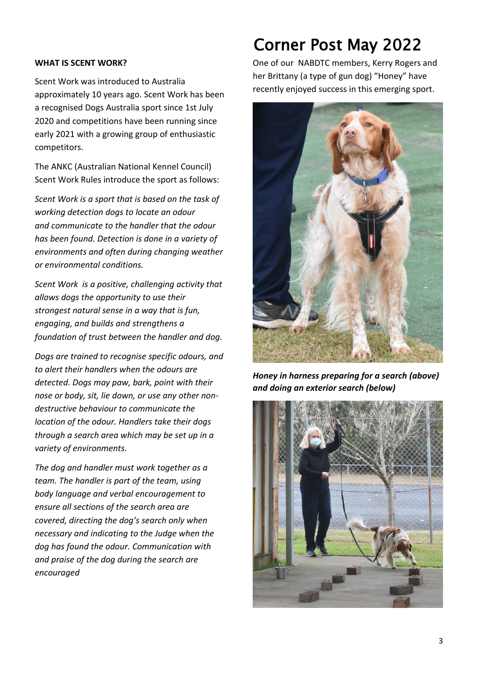#### **WHAT IS SCENT WORK?**

Scent Work was introduced to Australia approximately 10 years ago. Scent Work has been a recognised Dogs Australia sport since 1st July 2020 and competitions have been running since early 2021 with a growing group of enthusiastic competitors.

The ANKC (Australian National Kennel Council) Scent Work Rules introduce the sport as follows:

*Scent Work is a sport that is based on the task of working detection dogs to locate an odour and communicate to the handler that the odour has been found. Detection is done in a variety of environments and often during changing weather or environmental conditions.*

*Scent Work is a positive, challenging activity that allows dogs the opportunity to use their strongest natural sense in a way that is fun, engaging, and builds and strengthens a foundation of trust between the handler and dog.*

*Dogs are trained to recognise specific odours, and to alert their handlers when the odours are detected. Dogs may paw, bark, point with their nose or body, sit, lie down, or use any other nondestructive behaviour to communicate the location of the odour. Handlers take their dogs through a search area which may be set up in a variety of environments.*

*The dog and handler must work together as a team. The handler is part of the team, using body language and verbal encouragement to ensure all sections of the search area are covered, directing the dog's search only when necessary and indicating to the Judge when the dog has found the odour. Communication with and praise of the dog during the search are encouraged*

# Corner Post May 2022

One of our NABDTC members, Kerry Rogers and her Brittany (a type of gun dog) "Honey" have recently enjoyed success in this emerging sport.



*Honey in harness preparing for a search (above) and doing an exterior search (below)*

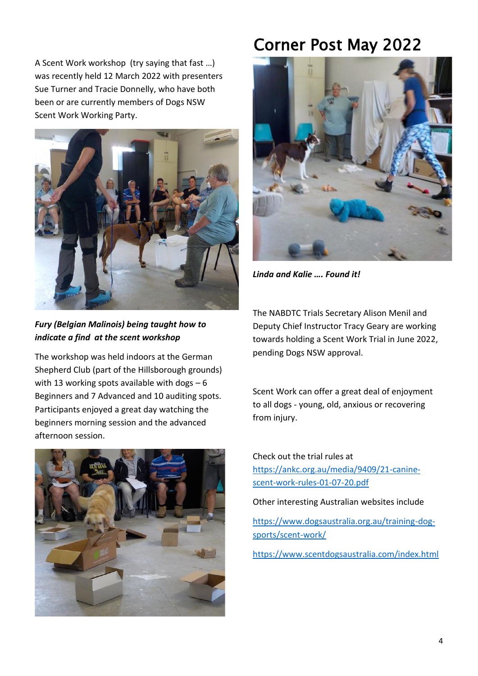A Scent Work workshop (try saying that fast …) was recently held 12 March 2022 with presenters Sue Turner and Tracie Donnelly, who have both been or are currently members of Dogs NSW Scent Work Working Party.



*Fury (Belgian Malinois) being taught how to indicate a find at the scent workshop*

The workshop was held indoors at the German Shepherd Club (part of the Hillsborough grounds) with 13 working spots available with dogs  $-6$ Beginners and 7 Advanced and 10 auditing spots. Participants enjoyed a great day watching the beginners morning session and the advanced afternoon session.



# Corner Post May 2022



*Linda and Kalie …. Found it!*

The NABDTC Trials Secretary Alison Menil and Deputy Chief Instructor Tracy Geary are working towards holding a Scent Work Trial in June 2022, pending Dogs NSW approval.

Scent Work can offer a great deal of enjoyment to all dogs - young, old, anxious or recovering from injury.

Check out the trial rules at https://ankc.org.au/media/9409/21-caninescent-work-rules-01-07-20.pdf

Other interesting Australian websites include

https://www.dogsaustralia.org.au/training-dogsports/scent-work/

https://www.scentdogsaustralia.com/index.html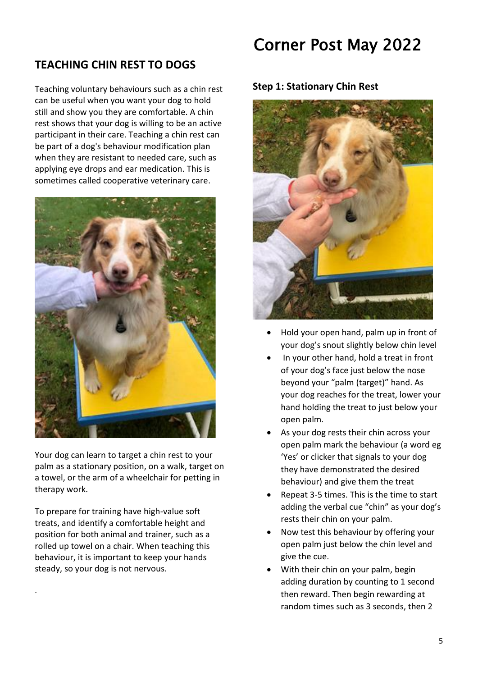## **TEACHING CHIN REST TO DOGS**

Teaching voluntary behaviours such as a chin rest can be useful when you want your dog to hold still and show you they are comfortable. A chin rest shows that your dog is willing to be an active participant in their care. Teaching a chin rest can be part of a dog's behaviour modification plan when they are resistant to needed care, such as applying eye drops and ear medication. This is sometimes called cooperative veterinary care.



Your dog can learn to target a chin rest to your palm as a stationary position, on a walk, target on a towel, or the arm of a wheelchair for petting in therapy work.

To prepare for training have high-value soft treats, and identify a comfortable height and position for both animal and trainer, such as a rolled up towel on a chair. When teaching this behaviour, it is important to keep your hands steady, so your dog is not nervous.

.

# Corner Post May 2022

#### **Step 1: Stationary Chin Rest**



- Hold your open hand, palm up in front of your dog's snout slightly below chin level
- In your other hand, hold a treat in front of your dog's face just below the nose beyond your "palm (target)" hand. As your dog reaches for the treat, lower your hand holding the treat to just below your open palm.
- As your dog rests their chin across your open palm mark the behaviour (a word eg 'Yes' or clicker that signals to your dog they have demonstrated the desired behaviour) and give them the treat
- Repeat 3-5 times. This is the time to start adding the verbal cue "chin" as your dog's rests their chin on your palm.
- Now test this behaviour by offering your open palm just below the chin level and give the cue.
- With their chin on your palm, begin adding duration by counting to 1 second then reward. Then begin rewarding at random times such as 3 seconds, then 2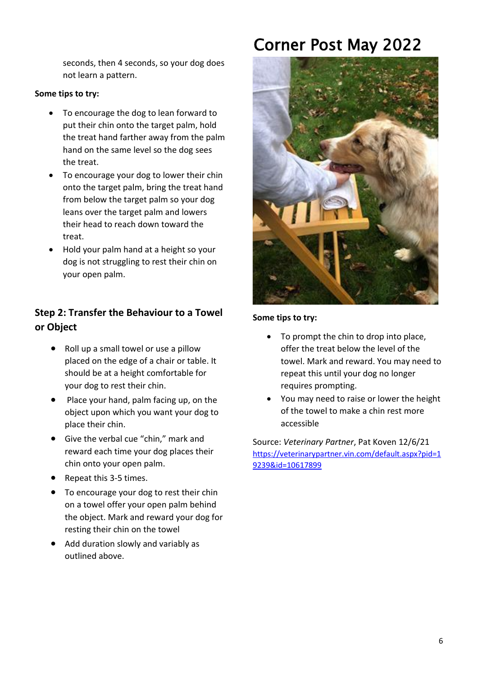seconds, then 4 seconds, so your dog does not learn a pattern.

### **Some tips to try:**

- To encourage the dog to lean forward to put their chin onto the target palm, hold the treat hand farther away from the palm hand on the same level so the dog sees the treat.
- To encourage your dog to lower their chin onto the target palm, bring the treat hand from below the target palm so your dog leans over the target palm and lowers their head to reach down toward the treat.
- Hold your palm hand at a height so your dog is not struggling to rest their chin on your open palm.

## **Step 2: Transfer the Behaviour to a Towel or Object**

- Roll up a small towel or use a pillow placed on the edge of a chair or table. It should be at a height comfortable for your dog to rest their chin.
- Place your hand, palm facing up, on the object upon which you want your dog to place their chin.
- Give the verbal cue "chin," mark and reward each time your dog places their chin onto your open palm.
- Repeat this 3-5 times.
- To encourage your dog to rest their chin on a towel offer your open palm behind the object. Mark and reward your dog for resting their chin on the towel
- Add duration slowly and variably as outlined above.

# Corner Post May 2022



#### **Some tips to try:**

- To prompt the chin to drop into place, offer the treat below the level of the towel. Mark and reward. You may need to repeat this until your dog no longer requires prompting.
- You may need to raise or lower the height of the towel to make a chin rest more accessible

Source: *Veterinary Partner*, Pat Koven 12/6/21 https://veterinarypartner.vin.com/default.aspx?pid=1 9239&id=10617899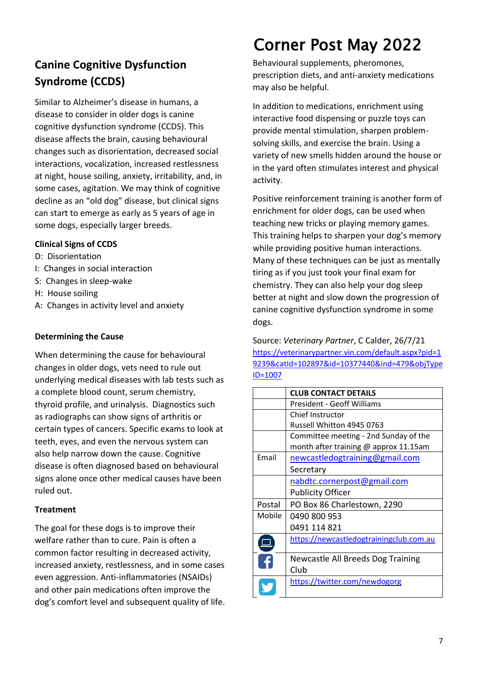## **Canine Cognitive Dysfunction Syndrome (CCDS)**

Similar to Alzheimer's disease in humans, a disease to consider in older dogs is canine cognitive dysfunction syndrome (CCDS). This disease affects the brain, causing behavioural changes such as disorientation, decreased social interactions, vocalization, increased restlessness at night, house soiling, anxiety, irritability, and, in some cases, agitation. We may think of cognitive decline as an "old dog" disease, but clinical signs can start to emerge as early as 5 years of age in some dogs, especially larger breeds.

### **Clinical Signs of CCDS**

- D: Disorientation
- I: Changes in social interaction
- S: Changes in sleep-wake
- H: House soiling
- A: Changes in activity level and anxiety

### **Determining the Cause**

When determining the cause for behavioural changes in older dogs, vets need to rule out underlying medical diseases with lab tests such as a complete blood count, serum chemistry, thyroid profile, and urinalysis. Diagnostics such as radiographs can show signs of arthritis or certain types of cancers. Specific exams to look at teeth, eyes, and even the nervous system can also help narrow down the cause. Cognitive disease is often diagnosed based on behavioural signs alone once other medical causes have been ruled out.

#### **Treatment**

The goal for these dogs is to improve their welfare rather than to cure. Pain is often a common factor resulting in decreased activity, increased anxiety, restlessness, and in some cases even aggression. Anti-inflammatories (NSAIDs) and other pain medications often improve the dog's comfort level and subsequent quality of life.

# Corner Post May 2022

Behavioural supplements, pheromones, prescription diets, and anti-anxiety medications may also be helpful.

In addition to medications, enrichment using interactive food dispensing or puzzle toys can provide mental stimulation, sharpen problemsolving skills, and exercise the brain. Using a variety of new smells hidden around the house or in the yard often stimulates interest and physical activity.

Positive reinforcement training is another form of enrichment for older dogs, can be used when teaching new tricks or playing memory games. This training helps to sharpen your dog's memory while providing positive human interactions. Many of these techniques can be just as mentally tiring as if you just took your final exam for chemistry. They can also help your dog sleep better at night and slow down the progression of canine cognitive dysfunction syndrome in some dogs.

Source: *Veterinary Partner*, C Calder, 26/7/21 https://veterinarypartner.vin.com/default.aspx?pid=1 9239&catId=102897&id=10377440&ind=479&objType ID=1007

|        | <b>CLUB CONTACT DETAILS</b>             |
|--------|-----------------------------------------|
|        | <b>President - Geoff Williams</b>       |
|        | Chief Instructor                        |
|        | Russell Whitton 4945 0763               |
|        | Committee meeting - 2nd Sunday of the   |
|        | month after training @ approx 11.15am   |
| Email  | newcastledogtraining@gmail.com          |
|        | Secretary                               |
|        | nabdtc.cornerpost@gmail.com             |
|        | <b>Publicity Officer</b>                |
| Postal | PO Box 86 Charlestown, 2290             |
| Mobile | 0490 800 953                            |
|        | 0491 114 821                            |
|        | https://newcastledogtrainingclub.com.au |
|        |                                         |
|        | Newcastle All Breeds Dog Training       |
|        | Club                                    |
|        | https://twitter.com/newdogorg           |
|        |                                         |